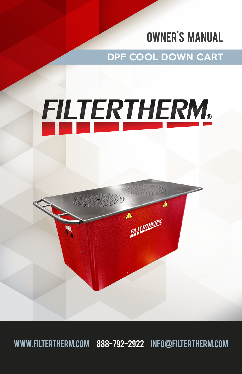### OWNER'S manual

DPF COOL DOWN CART

# FILTERTHERM.

FILTERTHERM

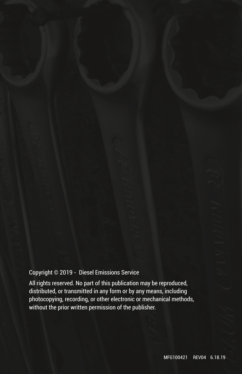#### Copyright © 2019 - Diesel Emissions Service

All rights reserved. No part of this publication may be reproduced, distributed, or transmitted in any form or by any means, including photocopying, recording, or other electronic or mechanical methods, without the prior written permission of the publisher.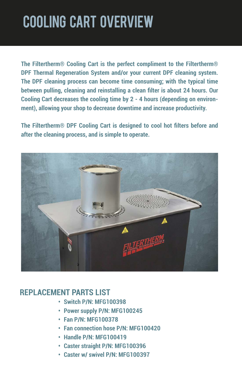# cooling cart OVERVIEW

**The Filtertherm® Cooling Cart is the perfect compliment to the Filtertherm® DPF Thermal Regeneration System and/or your current DPF cleaning system. The DPF cleaning process can become time consuming; with the typical time between pulling, cleaning and reinstalling a clean filter is about 24 hours. Our Cooling Cart decreases the cooling time by 2 - 4 hours (depending on environment), allowing your shop to decrease downtime and increase productivity.** 

**The Filtertherm® DPF Cooling Cart is designed to cool hot filters before and after the cleaning process, and is simple to operate.**



### **REPLACEMENT PARTS LIST**

- **• Switch P/N: MFG100398**
- **• ●Power supply P/N: MFG100245**
- **• ●Fan P/N: MFG100378**
- **• ●Fan connection hose P/N: MFG100420**
- **• ●Handle P/N: MFG100419**
- **• ●Caster straight P/N: MFG100396**
- **• ●Caster w/ swivel P/N: MFG100397**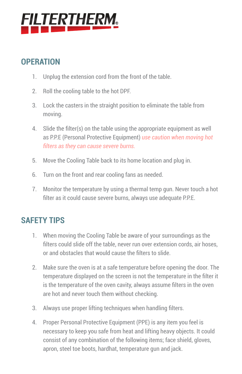# <u>FILTERTHERM.</u>

### **OPERATION**

- 1. Unplug the extension cord from the front of the table.
- 2. Roll the cooling table to the hot DPF.
- 3. Lock the casters in the straight position to eliminate the table from moving.
- 4. Slide the filter(s) on the table using the appropriate equipment as well as P.P.E (Personal Protective Equipment) *use caution when moving hot filters as they can cause severe burns.*
- 5. Move the Cooling Table back to its home location and plug in.
- 6. Turn on the front and rear cooling fans as needed.
- 7. Monitor the temperature by using a thermal temp gun. Never touch a hot filter as it could cause severe burns, always use adequate P.P.E.

### **SAFETY TIPS**

- 1. When moving the Cooling Table be aware of your surroundings as the filters could slide off the table, never run over extension cords, air hoses, or and obstacles that would cause the filters to slide.
- 2. Make sure the oven is at a safe temperature before opening the door. The temperature displayed on the screen is not the temperature in the filter it is the temperature of the oven cavity, always assume filters in the oven are hot and never touch them without checking.
- 3. Always use proper lifting techniques when handling filters.
- 4. Proper Personal Protective Equipment (PPE) is any item you feel is necessary to keep you safe from heat and lifting heavy objects. It could consist of any combination of the following items; face shield, gloves, apron, steel toe boots, hardhat, temperature gun and jack.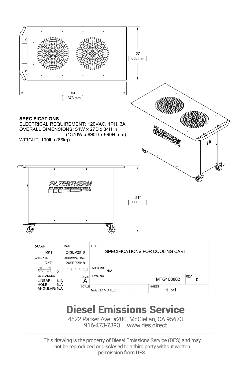

### **Diesel Emissions Service**

4522 Parker Ave. #200 McClellan, CA 95673 916-473-7393 www.des.direct

This drawing is the property of Diesel Emissions Service (DES) and may not be reproduced or disclosed to a third party without written permission from DES.